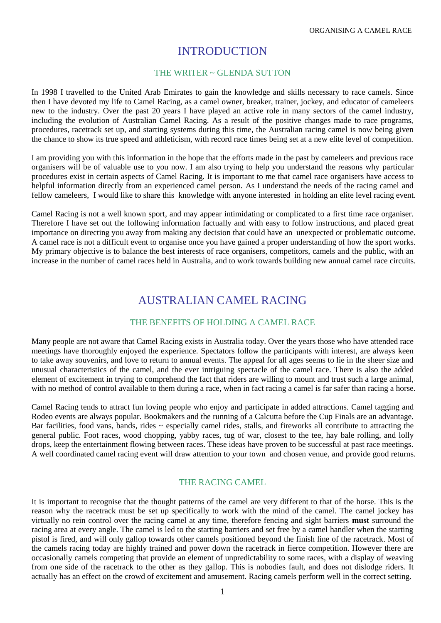### INTRODUCTION

#### THE WRITER  $\sim$  GLENDA SUTTON

In 1998 I travelled to the United Arab Emirates to gain the knowledge and skills necessary to race camels. Since then I have devoted my life to Camel Racing, as a camel owner, breaker, trainer, jockey, and educator of cameleers new to the industry. Over the past 20 years I have played an active role in many sectors of the camel industry, including the evolution of Australian Camel Racing. As a result of the positive changes made to race programs, procedures, racetrack set up, and starting systems during this time, the Australian racing camel is now being given the chance to show its true speed and athleticism, with record race times being set at a new elite level of competition.

I am providing you with this information in the hope that the efforts made in the past by cameleers and previous race organisers will be of valuable use to you now. I am also trying to help you understand the reasons why particular procedures exist in certain aspects of Camel Racing. It is important to me that camel race organisers have access to helpful information directly from an experienced camel person. As I understand the needs of the racing camel and fellow cameleers, I would like to share this knowledge with anyone interested in holding an elite level racing event.

Camel Racing is not a well known sport, and may appear intimidating or complicated to a first time race organiser. Therefore I have set out the following information factually and with easy to follow instructions, and placed great importance on directing you away from making any decision that could have an unexpected or problematic outcome. A camel race is not a difficult event to organise once you have gained a proper understanding of how the sport works. My primary objective is to balance the best interests of race organisers, competitors, camels and the public, with an increase in the number of camel races held in Australia, and to work towards building new annual camel race circuits.

## AUSTRALIAN CAMEL RACING

#### THE BENEFITS OF HOLDING A CAMEL RACE

Many people are not aware that Camel Racing exists in Australia today. Over the years those who have attended race meetings have thoroughly enjoyed the experience. Spectators follow the participants with interest, are always keen to take away souvenirs, and love to return to annual events. The appeal for all ages seems to lie in the sheer size and unusual characteristics of the camel, and the ever intriguing spectacle of the camel race. There is also the added element of excitement in trying to comprehend the fact that riders are willing to mount and trust such a large animal, with no method of control available to them during a race, when in fact racing a camel is far safer than racing a horse.

Camel Racing tends to attract fun loving people who enjoy and participate in added attractions. Camel tagging and Rodeo events are always popular. Bookmakers and the running of a Calcutta before the Cup Finals are an advantage. Bar facilities, food vans, bands, rides  $\sim$  especially camel rides, stalls, and fireworks all contribute to attracting the general public. Foot races, wood chopping, yabby races, tug of war, closest to the tee, hay bale rolling, and lolly drops, keep the entertainment flowing between races. These ideas have proven to be successful at past race meetings. A well coordinated camel racing event will draw attention to your town and chosen venue, and provide good returns.

#### THE RACING CAMEL

It is important to recognise that the thought patterns of the camel are very different to that of the horse. This is the reason why the racetrack must be set up specifically to work with the mind of the camel. The camel jockey has virtually no rein control over the racing camel at any time, therefore fencing and sight barriers **must** surround the racing area at every angle. The camel is led to the starting barriers and set free by a camel handler when the starting pistol is fired, and will only gallop towards other camels positioned beyond the finish line of the racetrack. Most of the camels racing today are highly trained and power down the racetrack in fierce competition. However there are occasionally camels competing that provide an element of unpredictability to some races, with a display of weaving from one side of the racetrack to the other as they gallop. This is nobodies fault, and does not dislodge riders. It actually has an effect on the crowd of excitement and amusement. Racing camels perform well in the correct setting.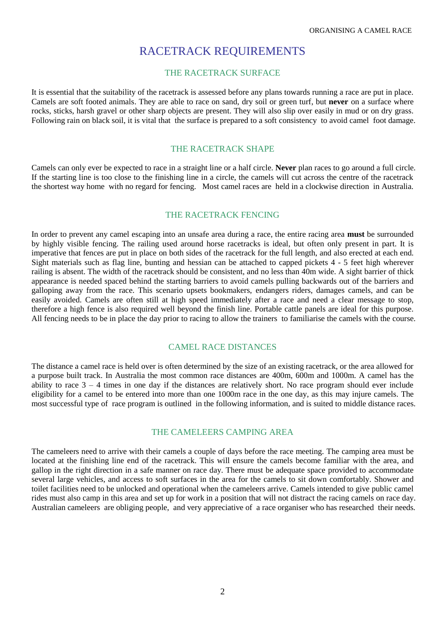### RACETRACK REQUIREMENTS

#### THE RACETRACK SURFACE

It is essential that the suitability of the racetrack is assessed before any plans towards running a race are put in place. Camels are soft footed animals. They are able to race on sand, dry soil or green turf, but **never** on a surface where rocks, sticks, harsh gravel or other sharp objects are present. They will also slip over easily in mud or on dry grass. Following rain on black soil, it is vital that the surface is prepared to a soft consistency to avoid camel foot damage.

#### THE RACETRACK SHAPE

Camels can only ever be expected to race in a straight line or a half circle. **Never** plan races to go around a full circle. If the starting line is too close to the finishing line in a circle, the camels will cut across the centre of the racetrack the shortest way home with no regard for fencing. Most camel races are held in a clockwise direction in Australia.

#### THE RACETRACK FENCING

In order to prevent any camel escaping into an unsafe area during a race, the entire racing area **must** be surrounded by highly visible fencing. The railing used around horse racetracks is ideal, but often only present in part. It is imperative that fences are put in place on both sides of the racetrack for the full length, and also erected at each end. Sight materials such as flag line, bunting and hessian can be attached to capped pickets 4 - 5 feet high wherever railing is absent. The width of the racetrack should be consistent, and no less than 40m wide. A sight barrier of thick appearance is needed spaced behind the starting barriers to avoid camels pulling backwards out of the barriers and galloping away from the race. This scenario upsets bookmakers, endangers riders, damages camels, and can be easily avoided. Camels are often still at high speed immediately after a race and need a clear message to stop, therefore a high fence is also required well beyond the finish line. Portable cattle panels are ideal for this purpose. All fencing needs to be in place the day prior to racing to allow the trainers to familiarise the camels with the course.

#### CAMEL RACE DISTANCES

The distance a camel race is held over is often determined by the size of an existing racetrack, or the area allowed for a purpose built track. In Australia the most common race distances are 400m, 600m and 1000m. A camel has the ability to race  $3 - 4$  times in one day if the distances are relatively short. No race program should ever include eligibility for a camel to be entered into more than one 1000m race in the one day, as this may injure camels. The most successful type of race program is outlined in the following information, and is suited to middle distance races.

#### THE CAMELEERS CAMPING AREA

The cameleers need to arrive with their camels a couple of days before the race meeting. The camping area must be located at the finishing line end of the racetrack. This will ensure the camels become familiar with the area, and gallop in the right direction in a safe manner on race day. There must be adequate space provided to accommodate several large vehicles, and access to soft surfaces in the area for the camels to sit down comfortably. Shower and toilet facilities need to be unlocked and operational when the cameleers arrive. Camels intended to give public camel rides must also camp in this area and set up for work in a position that will not distract the racing camels on race day. Australian cameleers are obliging people, and very appreciative of a race organiser who has researched their needs.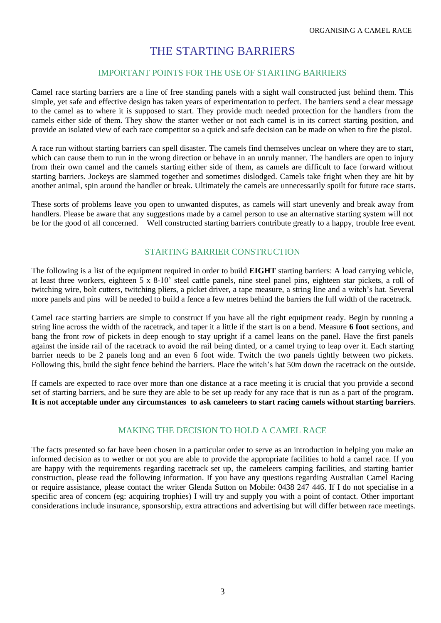### THE STARTING BARRIERS

#### IMPORTANT POINTS FOR THE USE OF STARTING BARRIERS

Camel race starting barriers are a line of free standing panels with a sight wall constructed just behind them. This simple, yet safe and effective design has taken years of experimentation to perfect. The barriers send a clear message to the camel as to where it is supposed to start. They provide much needed protection for the handlers from the camels either side of them. They show the starter wether or not each camel is in its correct starting position, and provide an isolated view of each race competitor so a quick and safe decision can be made on when to fire the pistol.

A race run without starting barriers can spell disaster. The camels find themselves unclear on where they are to start, which can cause them to run in the wrong direction or behave in an unruly manner. The handlers are open to injury from their own camel and the camels starting either side of them, as camels are difficult to face forward without starting barriers. Jockeys are slammed together and sometimes dislodged. Camels take fright when they are hit by another animal, spin around the handler or break. Ultimately the camels are unnecessarily spoilt for future race starts.

These sorts of problems leave you open to unwanted disputes, as camels will start unevenly and break away from handlers. Please be aware that any suggestions made by a camel person to use an alternative starting system will not be for the good of all concerned. Well constructed starting barriers contribute greatly to a happy, trouble free event.

#### STARTING BARRIER CONSTRUCTION

The following is a list of the equipment required in order to build **EIGHT** starting barriers: A load carrying vehicle, at least three workers, eighteen 5 x 8-10' steel cattle panels, nine steel panel pins, eighteen star pickets, a roll of twitching wire, bolt cutters, twitching pliers, a picket driver, a tape measure, a string line and a witch's hat. Several more panels and pins will be needed to build a fence a few metres behind the barriers the full width of the racetrack.

Camel race starting barriers are simple to construct if you have all the right equipment ready. Begin by running a string line across the width of the racetrack, and taper it a little if the start is on a bend. Measure **6 foot** sections, and bang the front row of pickets in deep enough to stay upright if a camel leans on the panel. Have the first panels against the inside rail of the racetrack to avoid the rail being dinted, or a camel trying to leap over it. Each starting barrier needs to be 2 panels long and an even 6 foot wide. Twitch the two panels tightly between two pickets. Following this, build the sight fence behind the barriers. Place the witch's hat 50m down the racetrack on the outside.

If camels are expected to race over more than one distance at a race meeting it is crucial that you provide a second set of starting barriers, and be sure they are able to be set up ready for any race that is run as a part of the program. **It is not acceptable under any circumstances to ask cameleers to start racing camels without starting barriers**.

#### MAKING THE DECISION TO HOLD A CAMEL RACE

The facts presented so far have been chosen in a particular order to serve as an introduction in helping you make an informed decision as to wether or not you are able to provide the appropriate facilities to hold a camel race. If you are happy with the requirements regarding racetrack set up, the cameleers camping facilities, and starting barrier construction, please read the following information. If you have any questions regarding Australian Camel Racing or require assistance, please contact the writer Glenda Sutton on Mobile: 0438 247 446. If I do not specialise in a specific area of concern (eg: acquiring trophies) I will try and supply you with a point of contact. Other important considerations include insurance, sponsorship, extra attractions and advertising but will differ between race meetings.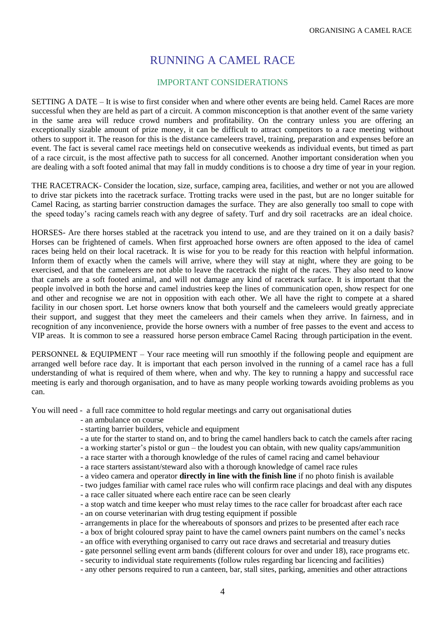## RUNNING A CAMEL RACE

#### IMPORTANT CONSIDERATIONS

SETTING A DATE – It is wise to first consider when and where other events are being held. Camel Races are more successful when they are held as part of a circuit. A common misconception is that another event of the same variety in the same area will reduce crowd numbers and profitability. On the contrary unless you are offering an exceptionally sizable amount of prize money, it can be difficult to attract competitors to a race meeting without others to support it. The reason for this is the distance cameleers travel, training, preparation and expenses before an event. The fact is several camel race meetings held on consecutive weekends as individual events, but timed as part of a race circuit, is the most affective path to success for all concerned. Another important consideration when you are dealing with a soft footed animal that may fall in muddy conditions is to choose a dry time of year in your region.

THE RACETRACK- Consider the location, size, surface, camping area, facilities, and wether or not you are allowed to drive star pickets into the racetrack surface. Trotting tracks were used in the past, but are no longer suitable for Camel Racing, as starting barrier construction damages the surface. They are also generally too small to cope with the speed today's racing camels reach with any degree of safety. Turf and dry soil racetracks are an ideal choice.

HORSES- Are there horses stabled at the racetrack you intend to use, and are they trained on it on a daily basis? Horses can be frightened of camels. When first approached horse owners are often apposed to the idea of camel races being held on their local racetrack. It is wise for you to be ready for this reaction with helpful information. Inform them of exactly when the camels will arrive, where they will stay at night, where they are going to be exercised, and that the cameleers are not able to leave the racetrack the night of the races. They also need to know that camels are a soft footed animal, and will not damage any kind of racetrack surface. It is important that the people involved in both the horse and camel industries keep the lines of communication open, show respect for one and other and recognise we are not in opposition with each other. We all have the right to compete at a shared facility in our chosen sport. Let horse owners know that both yourself and the cameleers would greatly appreciate their support, and suggest that they meet the cameleers and their camels when they arrive. In fairness, and in recognition of any inconvenience, provide the horse owners with a number of free passes to the event and access to VIP areas. It is common to see a reassured horse person embrace Camel Racing through participation in the event.

PERSONNEL & EQUIPMENT – Your race meeting will run smoothly if the following people and equipment are arranged well before race day. It is important that each person involved in the running of a camel race has a full understanding of what is required of them where, when and why. The key to running a happy and successful race meeting is early and thorough organisation, and to have as many people working towards avoiding problems as you can.

You will need - a full race committee to hold regular meetings and carry out organisational duties

- an ambulance on course
- starting barrier builders, vehicle and equipment
- a ute for the starter to stand on, and to bring the camel handlers back to catch the camels after racing
- a working starter's pistol or gun the loudest you can obtain, with new quality caps/ammunition
- a race starter with a thorough knowledge of the rules of camel racing and camel behaviour
- a race starters assistant/steward also with a thorough knowledge of camel race rules
- a video camera and operator **directly in line with the finish line** if no photo finish is available
- two judges familiar with camel race rules who will confirm race placings and deal with any disputes - a race caller situated where each entire race can be seen clearly
- a stop watch and time keeper who must relay times to the race caller for broadcast after each race
- an on course veterinarian with drug testing equipment if possible
- arrangements in place for the whereabouts of sponsors and prizes to be presented after each race
- a box of bright coloured spray paint to have the camel owners paint numbers on the camel's necks
- an office with everything organised to carry out race draws and secretarial and treasury duties
- gate personnel selling event arm bands (different colours for over and under 18), race programs etc.
- security to individual state requirements (follow rules regarding bar licencing and facilities)
- any other persons required to run a canteen, bar, stall sites, parking, amenities and other attractions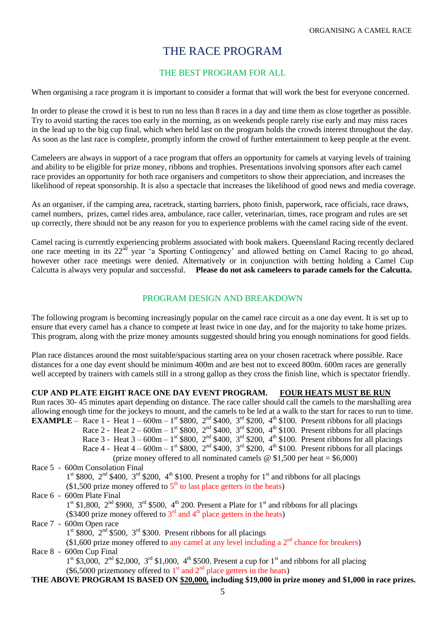### THE RACE PROGRAM

#### THE BEST PROGRAM FOR ALL

When organising a race program it is important to consider a format that will work the best for everyone concerned.

In order to please the crowd it is best to run no less than 8 races in a day and time them as close together as possible. Try to avoid starting the races too early in the morning, as on weekends people rarely rise early and may miss races in the lead up to the big cup final, which when held last on the program holds the crowds interest throughout the day. As soon as the last race is complete, promptly inform the crowd of further entertainment to keep people at the event.

Cameleers are always in support of a race program that offers an opportunity for camels at varying levels of training and ability to be eligible for prize money, ribbons and trophies. Presentations involving sponsors after each camel race provides an opportunity for both race organisers and competitors to show their appreciation, and increases the likelihood of repeat sponsorship. It is also a spectacle that increases the likelihood of good news and media coverage.

As an organiser, if the camping area, racetrack, starting barriers, photo finish, paperwork, race officials, race draws, camel numbers, prizes, camel rides area, ambulance, race caller, veterinarian, times, race program and rules are set up correctly, there should not be any reason for you to experience problems with the camel racing side of the event.

Camel racing is currently experiencing problems associated with book makers. Queensland Racing recently declared one race meeting in its 22<sup>nd</sup> year 'a Sporting Contingency' and allowed betting on Camel Racing to go ahead, however other race meetings were denied. Alternatively or in conjunction with betting holding a Camel Cup Calcutta is always very popular and successful. **Please do not ask cameleers to parade camels for the Calcutta.**

#### PROGRAM DESIGN AND BREAKDOWN

The following program is becoming increasingly popular on the camel race circuit as a one day event. It is set up to ensure that every camel has a chance to compete at least twice in one day, and for the majority to take home prizes. This program, along with the prize money amounts suggested should bring you enough nominations for good fields.

Plan race distances around the most suitable/spacious starting area on your chosen racetrack where possible. Race distances for a one day event should be minimum 400m and are best not to exceed 800m. 600m races are generally well accepted by trainers with camels still in a strong gallop as they cross the finish line, which is spectator friendly.

**CUP AND PLATE EIGHT RACE ONE DAY EVENT PROGRAM. FOUR HEATS MUST BE RUN** Run races 30- 45 minutes apart depending on distance. The race caller should call the camels to the marshalling area allowing enough time for the jockeys to mount, and the camels to be led at a walk to the start for races to run to time. **EXAMPLE** – Race 1 - Heat  $1 - 600m - 1$ <sup>st</sup> \$800,  $2^{nd}$  \$400,  $3^{rd}$  \$200,  $4^{th}$  \$100. Present ribbons for all placings Race 2 - Heat  $2 - 600m - 1$ <sup>st</sup> \$800, 2<sup>nd</sup> \$400, 3<sup>rd</sup> \$200, 4<sup>th</sup> \$100. Present ribbons for all placings Race 3 - Heat  $3 - 600$ m  $- 1$ <sup>st</sup> \$800, 2<sup>nd</sup> \$400, 3<sup>rd</sup> \$200, 4<sup>th</sup> \$100. Present ribbons for all placings Race 4 - Heat  $4 - 600m - 1$ <sup>st</sup> \$800, 2<sup>nd</sup> \$400, 3<sup>rd</sup> \$200, 4<sup>th</sup> \$100. Present ribbons for all placings (prize money offered to all nominated camels  $\omega$  \$1,500 per heat = \$6,000) Race 5 - 600m Consolation Final  $1<sup>st</sup>$  \$800,  $2<sup>nd</sup>$  \$400,  $3<sup>rd</sup>$  \$200,  $4<sup>th</sup>$  \$100. Present a trophy for  $1<sup>st</sup>$  and ribbons for all placings  $($1,500\text{ prize money offered to } 5^{\text{th}}$$  to last place getters in the heats) Race 6 - 600m Plate Final  $1<sup>st</sup>$  \$1,800,  $2<sup>nd</sup>$  \$900,  $3<sup>rd</sup>$  \$500,  $4<sup>th</sup>$  200. Present a Plate for  $1<sup>st</sup>$  and ribbons for all placings (\$3400 prize money offered to  $3<sup>rd</sup>$  and  $4<sup>th</sup>$  place getters in the heats) Race 7 - 600m Open race  $1<sup>st</sup>$  \$800,  $2<sup>nd</sup>$  \$500,  $3<sup>rd</sup>$  \$300. Present ribbons for all placings  $($1,600$) prize money offered to any camel at any level including a 2<sup>nd</sup> chance for breakers)$ Race 8 - 600m Cup Final  $1<sup>st</sup>$  \$3,000,  $2<sup>nd</sup>$  \$2,000,  $3<sup>rd</sup>$  \$1,000,  $4<sup>th</sup>$  \$500. Present a cup for  $1<sup>st</sup>$  and ribbons for all placing (\$6,5000 prizemoney offered to  $1<sup>st</sup>$  and  $2<sup>nd</sup>$  place getters in the heats) **THE ABOVE PROGRAM IS BASED ON \$20,000, including \$19,000 in prize money and \$1,000 in race prizes.**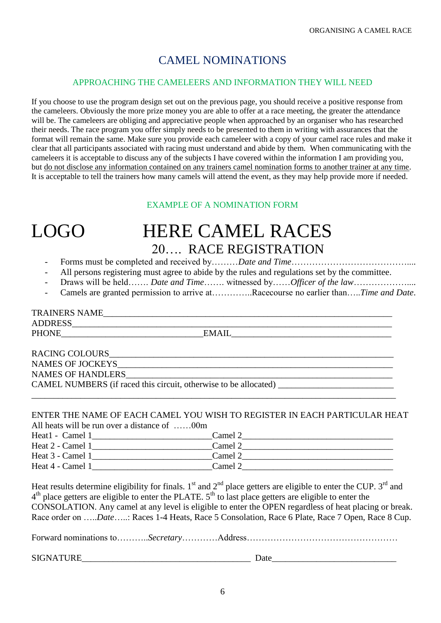# CAMEL NOMINATIONS

#### APPROACHING THE CAMELEERS AND INFORMATION THEY WILL NEED

If you choose to use the program design set out on the previous page, you should receive a positive response from the cameleers. Obviously the more prize money you are able to offer at a race meeting, the greater the attendance will be. The cameleers are obliging and appreciative people when approached by an organiser who has researched their needs. The race program you offer simply needs to be presented to them in writing with assurances that the format will remain the same. Make sure you provide each cameleer with a copy of your camel race rules and make it clear that all participants associated with racing must understand and abide by them. When communicating with the cameleers it is acceptable to discuss any of the subjects I have covered within the information I am providing you, but do not disclose any information contained on any trainers camel nomination forms to another trainer at any time. It is acceptable to tell the trainers how many camels will attend the event, as they may help provide more if needed.

#### EXAMPLE OF A NOMINATION FORM

# LOGO HERE CAMEL RACES 20…. RACE REGISTRATION

- Forms must be completed and received by………*Date and Time*…………………………………....
- All persons registering must agree to abide by the rules and regulations set by the committee.
- Draws will be held……. *Date and Time……* witnessed by……*Officer of the law*…………………..
- Camels are granted permission to arrive at…………..Racecourse no earlier than…..*Time and Date*.

### TRAINERS NAME

 $\begin{tabular}{l} \bf{ADDRESS} \end{tabular} \begin{tabular}{l} \bf{EMAIL} \end{tabular}$ 

PHONE\_\_\_\_\_\_\_\_\_\_\_\_\_\_\_\_\_\_\_\_\_\_\_\_\_\_\_\_\_\_\_\_EMAIL\_\_\_\_\_\_\_\_\_\_\_\_\_\_\_\_\_\_\_\_\_\_\_\_\_\_\_\_\_\_\_\_\_\_\_\_

RACING COLOURS NAMES OF JOCKEYS NAMES OF HANDLERS CAMEL NUMBERS (if raced this circuit, otherwise to be allocated)

#### ENTER THE NAME OF EACH CAMEL YOU WISH TO REGISTER IN EACH PARTICULAR HEAT All heats will be run over a distance of ……00m

\_\_\_\_\_\_\_\_\_\_\_\_\_\_\_\_\_\_\_\_\_\_\_\_\_\_\_\_\_\_\_\_\_\_\_\_\_\_\_\_\_\_\_\_\_\_\_\_\_\_\_\_\_\_\_\_\_\_\_\_\_\_\_\_\_\_\_\_\_\_\_\_\_\_\_\_\_\_\_\_\_\_

| Heat1 - Camel 1  | Camel 2 |  |
|------------------|---------|--|
| Heat 2 - Camel 1 | Camel 2 |  |
| Heat 3 - Camel 1 | Camel 2 |  |
| Heat 4 - Camel 1 | Camel 2 |  |

Heat results determine eligibility for finals.  $1<sup>st</sup>$  and  $2<sup>nd</sup>$  place getters are eligible to enter the CUP.  $3<sup>rd</sup>$  and 4<sup>th</sup> place getters are eligible to enter the PLATE. 5<sup>th</sup> to last place getters are eligible to enter the CONSOLATION. Any camel at any level is eligible to enter the OPEN regardless of heat placing or break. Race order on …..*Date*…..: Races 1-4 Heats, Race 5 Consolation, Race 6 Plate, Race 7 Open, Race 8 Cup.

Forward nominations to………..*Secretary*…………Address……………………………………………

SIGNATURE\_\_\_\_\_\_\_\_\_\_\_\_\_\_\_\_\_\_\_\_\_\_\_\_\_\_\_\_\_\_\_\_\_\_\_\_\_\_ Date\_\_\_\_\_\_\_\_\_\_\_\_\_\_\_\_\_\_\_\_\_\_\_\_\_\_\_\_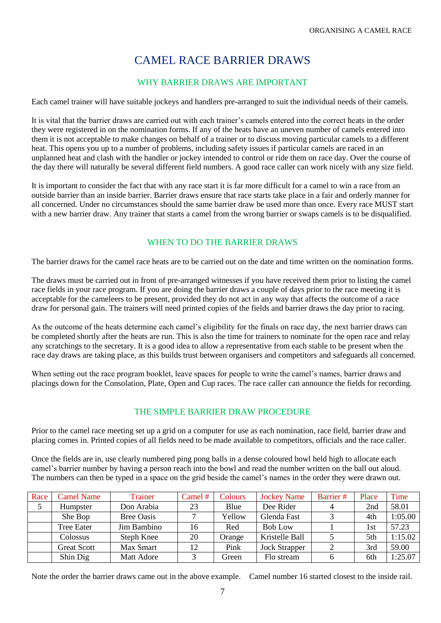# CAMEL RACE BARRIER DRAWS

#### WHY BARRIER DRAWS ARE IMPORTANT

Each camel trainer will have suitable jockeys and handlers pre-arranged to suit the individual needs of their camels.

It is vital that the barrier draws are carried out with each trainer's camels entered into the correct heats in the order they were registered in on the nomination forms. If any of the heats have an uneven number of camels entered into them it is not acceptable to make changes on behalf of a trainer or to discuss moving particular camels to a different heat. This opens you up to a number of problems, including safety issues if particular camels are raced in an unplanned heat and clash with the handler or jockey intended to control or ride them on race day. Over the course of the day there will naturally be several different field numbers. A good race caller can work nicely with any size field.

It is important to consider the fact that with any race start it is far more difficult for a camel to win a race from an outside barrier than an inside barrier. Barrier draws ensure that race starts take place in a fair and orderly manner for all concerned. Under no circumstances should the same barrier draw be used more than once. Every race MUST start with a new barrier draw. Any trainer that starts a camel from the wrong barrier or swaps camels is to be disqualified.

#### WHEN TO DO THE BARRIER DRAWS

The barrier draws for the camel race heats are to be carried out on the date and time written on the nomination forms.

The draws must be carried out in front of pre-arranged witnesses if you have received them prior to listing the camel race fields in your race program. If you are doing the barrier draws a couple of days prior to the race meeting it is acceptable for the cameleers to be present, provided they do not act in any way that affects the outcome of a race draw for personal gain. The trainers will need printed copies of the fields and barrier draws the day prior to racing.

As the outcome of the heats determine each camel's eligibility for the finals on race day, the next barrier draws can be completed shortly after the heats are run. This is also the time for trainers to nominate for the open race and relay any scratchings to the secretary. It is a good idea to allow a representative from each stable to be present when the race day draws are taking place, as this builds trust between organisers and competitors and safeguards all concerned.

When setting out the race program booklet, leave spaces for people to write the camel's names, barrier draws and placings down for the Consolation, Plate, Open and Cup races. The race caller can announce the fields for recording.

#### THE SIMPLE BARRIER DRAW PROCEDURE

Prior to the camel race meeting set up a grid on a computer for use as each nomination, race field, barrier draw and placing comes in. Printed copies of all fields need to be made available to competitors, officials and the race caller.

Once the fields are in, use clearly numbered ping pong balls in a dense coloured bowl held high to allocate each camel's barrier number by having a person reach into the bowl and read the number written on the ball out aloud. The numbers can then be typed in a space on the grid beside the camel's names in the order they were drawn out.

| Race | <b>Camel Name</b>  | Trainer           | Camel $#$ | Colours | <b>Jockey Name</b>   | Barrier# | Place | Time    |
|------|--------------------|-------------------|-----------|---------|----------------------|----------|-------|---------|
|      | Humpster           | Don Arabia        | 23        | Blue    | Dee Rider            | 4        | 2nd   | 58.01   |
|      | She Bop            | <b>Bree Oasis</b> |           | Yellow  | Glenda Fast          |          | 4th   | 1:05.00 |
|      | <b>Tree Eater</b>  | Jim Bambino       | 16        | Red     | <b>Bob Low</b>       |          | 1st   | 57.23   |
|      | Colossus           | Steph Knee        | 20        | Orange  | Kristelle Ball       |          | 5th   | 1:15.02 |
|      | <b>Great Scott</b> | Max Smart         | 12        | Pink    | <b>Jock Strapper</b> |          | 3rd   | 59.00   |
|      | Shin Dig           | Matt Adore        |           | Green   | Flo stream           |          | 6th   | 1:25.07 |

Note the order the barrier draws came out in the above example. Camel number 16 started closest to the inside rail.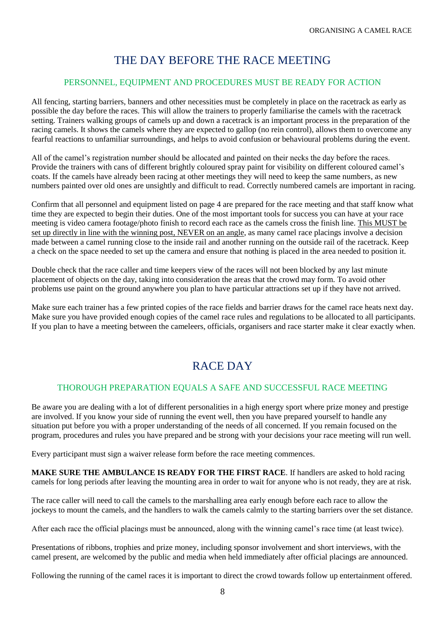## THE DAY BEFORE THE RACE MEETING

#### PERSONNEL, EQUIPMENT AND PROCEDURES MUST BE READY FOR ACTION

All fencing, starting barriers, banners and other necessities must be completely in place on the racetrack as early as possible the day before the races. This will allow the trainers to properly familiarise the camels with the racetrack setting. Trainers walking groups of camels up and down a racetrack is an important process in the preparation of the racing camels. It shows the camels where they are expected to gallop (no rein control), allows them to overcome any fearful reactions to unfamiliar surroundings, and helps to avoid confusion or behavioural problems during the event.

All of the camel's registration number should be allocated and painted on their necks the day before the races. Provide the trainers with cans of different brightly coloured spray paint for visibility on different coloured camel's coats. If the camels have already been racing at other meetings they will need to keep the same numbers, as new numbers painted over old ones are unsightly and difficult to read. Correctly numbered camels are important in racing.

Confirm that all personnel and equipment listed on page 4 are prepared for the race meeting and that staff know what time they are expected to begin their duties. One of the most important tools for success you can have at your race meeting is video camera footage/photo finish to record each race as the camels cross the finish line. This MUST be set up directly in line with the winning post, NEVER on an angle, as many camel race placings involve a decision made between a camel running close to the inside rail and another running on the outside rail of the racetrack. Keep a check on the space needed to set up the camera and ensure that nothing is placed in the area needed to position it.

Double check that the race caller and time keepers view of the races will not been blocked by any last minute placement of objects on the day, taking into consideration the areas that the crowd may form. To avoid other problems use paint on the ground anywhere you plan to have particular attractions set up if they have not arrived.

Make sure each trainer has a few printed copies of the race fields and barrier draws for the camel race heats next day. Make sure you have provided enough copies of the camel race rules and regulations to be allocated to all participants. If you plan to have a meeting between the cameleers, officials, organisers and race starter make it clear exactly when.

# RACE DAY

#### THOROUGH PREPARATION EQUALS A SAFE AND SUCCESSFUL RACE MEETING

Be aware you are dealing with a lot of different personalities in a high energy sport where prize money and prestige are involved. If you know your side of running the event well, then you have prepared yourself to handle any situation put before you with a proper understanding of the needs of all concerned. If you remain focused on the program, procedures and rules you have prepared and be strong with your decisions your race meeting will run well.

Every participant must sign a waiver release form before the race meeting commences.

**MAKE SURE THE AMBULANCE IS READY FOR THE FIRST RACE**. If handlers are asked to hold racing camels for long periods after leaving the mounting area in order to wait for anyone who is not ready, they are at risk.

The race caller will need to call the camels to the marshalling area early enough before each race to allow the jockeys to mount the camels, and the handlers to walk the camels calmly to the starting barriers over the set distance.

After each race the official placings must be announced, along with the winning camel's race time (at least twice).

Presentations of ribbons, trophies and prize money, including sponsor involvement and short interviews, with the camel present, are welcomed by the public and media when held immediately after official placings are announced.

Following the running of the camel races it is important to direct the crowd towards follow up entertainment offered.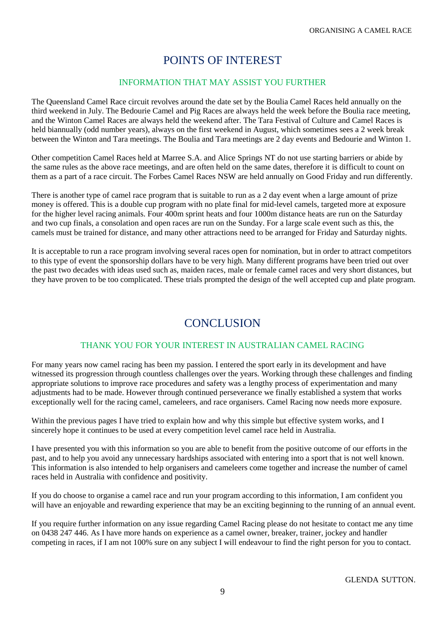## POINTS OF INTEREST

#### INFORMATION THAT MAY ASSIST YOU FURTHER

The Queensland Camel Race circuit revolves around the date set by the Boulia Camel Races held annually on the third weekend in July. The Bedourie Camel and Pig Races are always held the week before the Boulia race meeting, and the Winton Camel Races are always held the weekend after. The Tara Festival of Culture and Camel Races is held biannually (odd number years), always on the first weekend in August, which sometimes sees a 2 week break between the Winton and Tara meetings. The Boulia and Tara meetings are 2 day events and Bedourie and Winton 1.

Other competition Camel Races held at Marree S.A. and Alice Springs NT do not use starting barriers or abide by the same rules as the above race meetings, and are often held on the same dates, therefore it is difficult to count on them as a part of a race circuit. The Forbes Camel Races NSW are held annually on Good Friday and run differently.

There is another type of camel race program that is suitable to run as a 2 day event when a large amount of prize money is offered. This is a double cup program with no plate final for mid-level camels, targeted more at exposure for the higher level racing animals. Four 400m sprint heats and four 1000m distance heats are run on the Saturday and two cup finals, a consolation and open races are run on the Sunday. For a large scale event such as this, the camels must be trained for distance, and many other attractions need to be arranged for Friday and Saturday nights.

It is acceptable to run a race program involving several races open for nomination, but in order to attract competitors to this type of event the sponsorship dollars have to be very high. Many different programs have been tried out over the past two decades with ideas used such as, maiden races, male or female camel races and very short distances, but they have proven to be too complicated. These trials prompted the design of the well accepted cup and plate program.

# **CONCLUSION**

#### THANK YOU FOR YOUR INTEREST IN AUSTRALIAN CAMEL RACING

For many years now camel racing has been my passion. I entered the sport early in its development and have witnessed its progression through countless challenges over the years. Working through these challenges and finding appropriate solutions to improve race procedures and safety was a lengthy process of experimentation and many adjustments had to be made. However through continued perseverance we finally established a system that works exceptionally well for the racing camel, cameleers, and race organisers. Camel Racing now needs more exposure.

Within the previous pages I have tried to explain how and why this simple but effective system works, and I sincerely hope it continues to be used at every competition level camel race held in Australia.

I have presented you with this information so you are able to benefit from the positive outcome of our efforts in the past, and to help you avoid any unnecessary hardships associated with entering into a sport that is not well known. This information is also intended to help organisers and cameleers come together and increase the number of camel races held in Australia with confidence and positivity.

If you do choose to organise a camel race and run your program according to this information, I am confident you will have an enjoyable and rewarding experience that may be an exciting beginning to the running of an annual event.

If you require further information on any issue regarding Camel Racing please do not hesitate to contact me any time on 0438 247 446. As I have more hands on experience as a camel owner, breaker, trainer, jockey and handler competing in races, if I am not 100% sure on any subject I will endeavour to find the right person for you to contact.